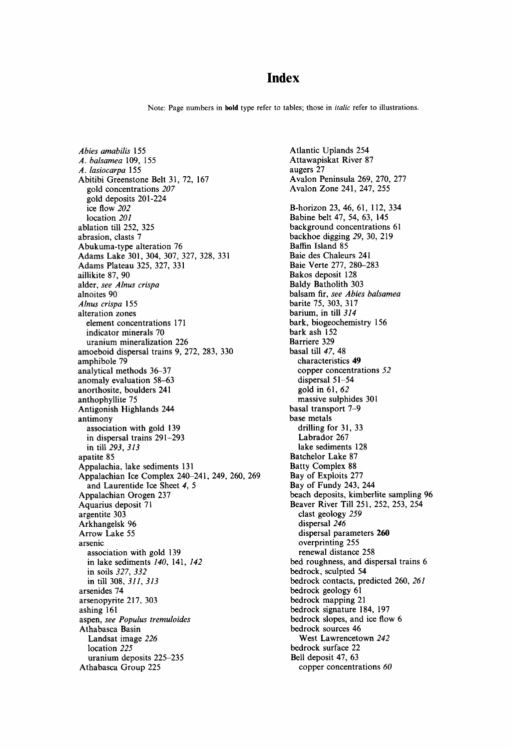# **Index**

Note: Page numbers in bold type refer to tables; those in *italic* refer to illustrations.

*Abies amabilis* 155 *A. balsamea* 109, 155 *A. lasiocarpa* 155 Abitibi Greenstone Belt 31, 72, 167 gold concentrations *207*  gold deposits 201-224 ice flow *202*  location *201*  ablation till 252, 325 abrasion, clasts 7 Abukuma-type alteration 76 Adams Lake 301,304, 307, 327, 328, 331 Adams Plateau 325, 327, 331 aillikite 87, 90 alder, *see Alnus crispa*  alnoites 90 *Alnus crispa* 155 alteration zones element concentrations 171 indicator minerals 70 uranium mineralization 226 amoeboid dispersal trains 9, 272, 283, 330 amphibole 79 analytical methods 36-37 anomaly evaluation 58-63 anorthosite, boulders 241 anthophyllite 75 Antigonish Highlands 244 antimony association with gold 139 in dispersal trains 291-293 in till *293, 313*  apatite 85 Appalachia, lake sediments 131 Appalachian Ice Complex 240-241, 249, 260, 269 and Laurentide Ice Sheet 4, 5 Appalachian Orogen 237 Aquarius deposit 71 argentite 303 Arkhangelsk 96 Arrow Lake 55 arsenic association with gold 139 in lake sediments  $140$ , 141,  $142$ in soils *327, 332*  in till 308, *311, 313*  arsenides 74 arsenopyrite 217, 303 ashing 161 aspen, *see Populus tremuloides*  Athabasca Basin Landsat image *226*  location *225*  uranium deposits 225-235 Athabasca Group 225

Atlantic Uplands 254 Attawapiskat River 87 augers 27 Avalon Peninsula 269, 270, 277 Avalon Zone 241, 247, 255 B-horizon 23, 46, 61, 112, 334 Babine belt 47, 54, 63, 145 background concentrations 61 backhoe digging *29,* 30, 219 Baffin Island 85 Baie des Chaleurs 241 Baie Verte 277, 280-283 Bakos deposit 128 Baldy Batholith 303 balsam fir, *see Abies balsamea*  barite 75, 303, 317 barium, in till *314*  bark, biogeochemistry 156 bark ash 152 Barriere 329 basal till *47,* 48 characteristics 49 copper concentrations *52*  dispersal 51-54 gold in 61, *62*  massive sulphides 301 basal transport 7-9 base metals drilling for 31, 33 Labrador 267 lake sediments 128 Batchelor Lake 87 Batty Complex 88 Bay of Exploits 277 Bay of Fundy 243, 244 beach deposits, kimberlite sampling 96 Beaver River Till 251,252, 253, 254 clast geology *259*  dispersal *246*  dispersal parameters 260 overprinting 255 renewal distance 258 bed roughness, and dispersal trains 6 bedrock, sculpted 54 bedrock contacts, predicted 260, *261*  bedrock geology 61 bedrock mapping 21 bedrock signature 184, 197 bedrock slopes, and ice flow 6 bedrock sources 46 West Lawrencetown *242*  bedrock surface 22 Bell deposit 47, 63 copper concentrations *60*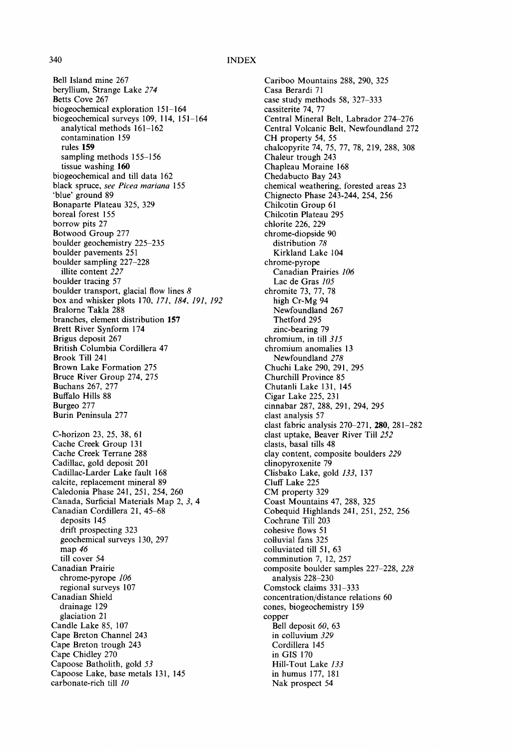Bell Island mine 267 beryllium, Strange Lake *274*  Betts Cove 267 biogeochemical exploration 151-164 biogeochemical surveys 109, 114, 151-164 analytical methods 161-162 contamination 159 rules 159 sampling methods 155-156 tissue washing 160 biogeochemical and till data 162 black spruce, *see Picea mariana* 155 'blue' ground 89 Bonaparte Plateau 325, 329 boreal forest 155 borrow pits 27 Botwood Group 277 boulder geochemistry 225-235 boulder pavements 251 boulder sampling 227-228 illite content *227*  boulder tracing 57 boulder transport, glacial flow lines  $8$ box and whisker plots 170, *171, 184, 191, 192*  Bralorne Takla 288 branches, element distribution 157 Brett River Synform 174 Brigus deposit 267 British Columbia Cordillera 47 Brook Till 241 Brown Lake Formation 275 Bruce River Group 274, 275 Buchans 267, 277 Buffalo Hills 88 Burgeo 277 Burin Peninsula 277 C-horizon 23, 25, 38, 61 Cache Creek Group 131 Cache Creek Terrane 288 Cadillac, gold deposit 201 Cadillac-Larder Lake fault 168 calcite, replacement mineral 89 Caledonia Phase 241,251,254, 260 Canada, Surficial Materials Map 2, 3, 4 Canadian Cordillera 21, 45-68 deposits 145 drift prospecting 323 geochemical surveys 130, 297 map *46*  till cover 54 Canadian Prairie chrome-pyrope *106*  regional surveys 107 Canadian Shield drainage 129 glaciation 21 Candle Lake 85, 107 Cape Breton Channel 243 Cape Breton trough 243 Cape Chidley 270 Capoose Batholith, gold *53*  Capoose Lake, base metals 131, 145 carbonate-rich till *10* 

Cariboo Mountains 288, 290, 325 Casa Berardi 71 case study methods 58, 327-333 cassiterite 74, 77 Central Mineral Belt, Labrador 274-276 Central Volcanic Belt, Newfoundland 272 CH property 54, 55 chalcopyrite 74, 75, 77, 78, 219, 288, 308 Chaleur trough 243 Chapleau Moraine 168 Chedabucto Bay 243 chemical weathering, forested areas 23 Chignecto Phase 243-244, 254, 256 Chilcotin Group 61 Chilcotin Plateau 295 chlorite 226, 229 chrome-diopside 90 distribution *78*  Kirkland Lake 104 chrome-pyrope Canadian Prairies *106*  Lac de Gras *105*  chromite 73, 77, 78 high Cr-Mg 94 Newfoundland 267 Thetford 295 zinc-bearing 79 chromium, in till *315*  chromium anomalies 13 Newfoundland *278*  Chuchi Lake 290, 291,295 Churchill Province 85 Chutanli Lake 131, 145 Cigar Lake 225, 231 cinnabar 287, 288, 291,294, 295 clast analysis 57 clast fabric analysis 270-271,280, 281-282 clast uptake, Beaver River Till *252*  clasts, basal tills 48 clay content, composite boulders *229*  clinopyroxenite 79 Clisbako Lake, gold *133,* 137 Cluff Lake 225 CM property 329 Coast Mountains 47, 288, 325 Cobequid Highlands 241,251,252, 256 Cochrane Till 203 cohesive flows 51 colluvial fans 325 colluviated till 51, 63 comminution 7, 12, 257 composite boulder samples 227-228, *228*  analysis 228-230 Comstock claims 331-333 concentration/distance relations 60 cones, biogeochemistry 159 copper Bell deposit *60,* 63 in colluvium *329*  Cordillera 145 in GIS 170 Hill-Tout Lake *133*  in humus 177, 181 Nak prospect 54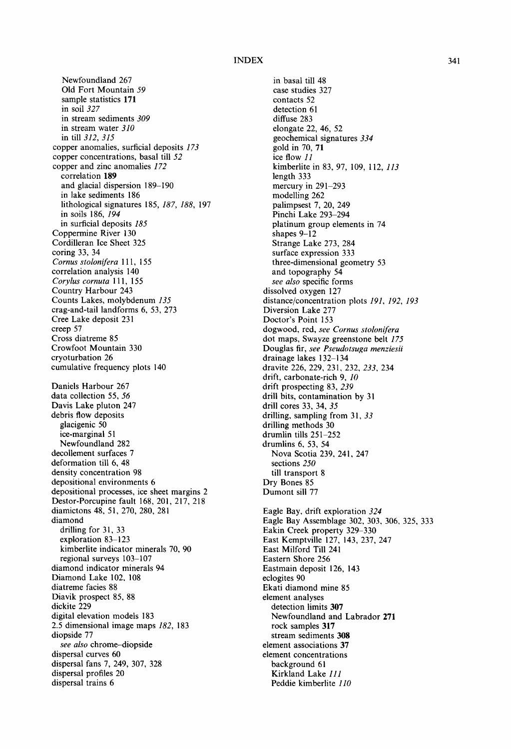Newfoundland 267 Old Fort Mountain *59*  sample statistics 171 in soil *327*  in stream sediments *309*  in stream water *310*  in till *312, 315*  copper anomalies, surficial deposits *173*  copper concentrations, basal till *52*  copper and zinc anomalies *172*  correlation 189 and glacial dispersion 189-190 in lake sediments 186 lithological signatures 185, *187, 188,* 197 in soils 186, *194*  in surficial deposits *185*  Coppermine River 130 Cordilleran Ice Sheet 325 coring 33, 34 *Comus stolonifera* 111, 155 correlation analysis 140 *Corylus cornuta* 111, 155 Country Harbour 243 Counts Lakes, molybdenum *135*  crag-and-tail landforms 6, 53, 273 Cree Lake deposit 231 creep 57 Cross diatreme 85 Crowfoot Mountain 330 cryoturbation 26 cumulative frequency plots 140 Daniels Harbour 267 data collection 55, *56*  Davis Lake pluton 247 debris flow deposits glacigenic 50 ice-marginal 51 Newfoundland 282 decoilement surfaces 7 deformation till 6, 48 density concentration 98 depositional environments 6 depositional processes, ice sheet margins 2 Destor-Porcupine fault 168, 201, 217, 218 diamictons 48, 51,270, 280, 281 diamond drilling for 31, 33 exploration 83-123 kimberlite indicator minerals 70, 90 regional surveys 103-107 diamond indicator minerals 94 Diamond Lake 102, 108 diatreme facies 88 Diavik prospect 85, 88 dickite 229 digital elevation models 183 2.5 dimensional image maps *182,* 183 diopside 77 *see also* chrome-diopside dispersal curves 60 dispersal fans 7, 249, 307, 328 dispersal profiles 20 dispersal trains 6

in basal till 48 case studies 327 contacts 52 detection 61 diffuse 283 elongate 22, 46, 52 geochemical signatures *334*  gold in 70, 71 ice flow *11*  kimberlite in 83, 97, 109, 112, *113*  length 333 mercury in 291-293 modelling 262 palimpsest 7, 20, 249 Pinchi Lake 293-294 platinum group elements in 74 shapes 9-12 Strange Lake 273, 284 surface expression 333 three-dimensional geometry 53 and topography 54 *see also* specific forms dissolved oxygen 127 distance/concentration plots *191, 192, 193*  Diversion Lake 277 Doctor's Point 153 dogwood, red, *see Cornus stohmifera*  dot maps, Swayze greenstone belt *175*  Douglas fir, *see Pseudotsuga rnenziesii*  drainage lakes 132-134 dravite 226, 229, 231,232, *233,* 234 drift, carbonate-rich 9, *10*  drift prospecting 83, *239*  drill bits, contamination by 31 drill cores 33, 34, *35*  drilling, sampling from 31, *33*  drilling methods 30 drumlin tills 251-252 drumlins 6, 53, 54 Nova Scotia 239, 241, 247 sections *250*  till transport 8 Dry Bones 85 Dumont sill 77 Eagle Bay, drift exploration *324*  Eagle Bay Assemblage 302, 303, 306, 325, 333 Eakin Creek property 329-330 East Kemptviile 127, 143, 237, 247 East Milford Till 241 Eastern Shore 256 Eastmain deposit 126, 143 eclogites 90 Ekati diamond mine 85 element analyses detection limits 307 Newfoundland and Labrador 271 rock samples 317 stream sediments 308 element associations 37 element concentrations

background 61 Kirkland Lake *111*  Peddie kimberlite *110*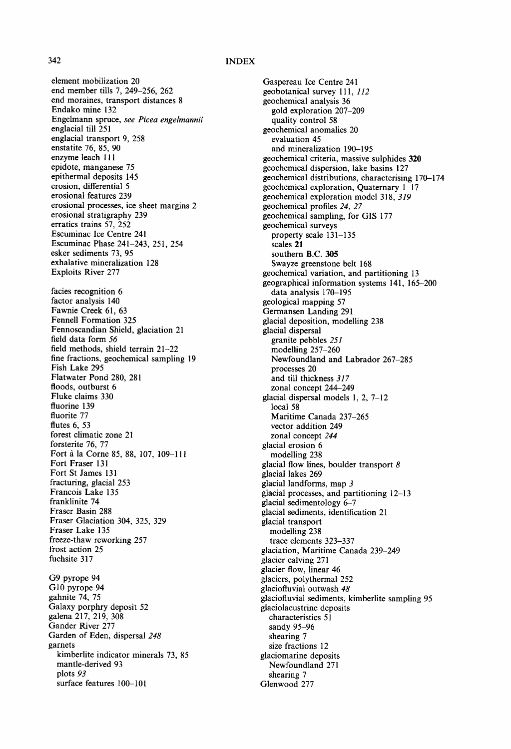element mobilization 20 end member tills 7, 249-256, 262 end moraines, transport distances 8 Endako mine 132 Engelmann spruce, *see Picea engelmannii*  englacial till 251 englacial transport 9, 258 enstatite 76, 85, 90 enzyme leach 111 epidote, manganese 75 epithermal deposits 145 erosion, differential 5 erosional features 239 erosional processes, ice sheet margins 2 erosional stratigraphy 239 erratics trains 57, 252 Escuminac Ice Centre 241 Escuminac Phase 241-243, 251,254 esker sediments 73, 95 exhalative mineralization 128 Exploits River 277 facies recognition 6 factor analysis 140 Fawnie Creek 61, 63 Fennell Formation 325 Fennoscandian Shield, glaciation 21 field data form *56*  field methods, shield terrain 21-22 fine fractions, geochemical sampling 19 Fish Lake 295 Flatwater Pond 280, 281 floods, outburst 6 Fluke claims 330 fluorine 139 fluorite 77 flutes 6, 53 forest climatic zone 21 forsterite 76, 77 Fort à la Corne 85, 88, 107, 109-111 Fort Fraser 131 Fort St James 131 fracturing, glacial 253 Francois Lake 135 franklinite 74 Fraser Basin 288 Fraser Glaciation 304, 325, 329 Fraser Lake 135 freeze-thaw reworking 257 frost action 25 fuchsite 317 G9 pyrope 94 G<sub>10</sub> pyrope 94 gahnite 74, 75 Galaxy porphry deposit 52 galena 217, 219, 308 Gander River 277 Garden of Eden, dispersal *248*  garnets kimberlite indicator minerals 73, 85 mantle-derived 93 plots *93*  surface features 100-101

Gaspereau Ice Centre 241 geobotanical survey 111, 112 geochemical analysis 36 gold exploration 207-209 quality control 58 geochemical anomalies 20 evaluation 45 and mineralization 190-195 geochemical criteria, massive sulphides 320 geochemical dispersion, lake basins 127 geochemical distributions, characterising 170-174 geochemical exploration, Quaternary 1-17 geochemical exploration model 318, *319*  geochemical profiles *24, 27*  geochemical sampling, for GIS 177 geochemical surveys property scale 131-135 scales 21 southern B.C. 305 Swayze greenstone belt 168 geochemical variation, and partitioning 13 geographical information systems 141, 165-200 data analysis 170-195 geological mapping 57 Germansen Landing 291 glacial deposition, modelling 238 glacial dispersal granite pebbles *251*  modelling 257-260 Newfoundland and Labrador 267-285 processes 20 and till thickness *317*  zonal concept 244-249 glacial dispersal models 1, 2, 7-12 local 58 Maritime Canada 237-265 vector addition 249 zonal concept *244*  glacial erosion 6 modelling 238 glacial flow lines, boulder transport  $\delta$ glacial lakes 269 glacial landforms, map 3 glacial processes, and partitioning 12-13 glacial sedimentology 6-7 glacial sediments, identification 21 glacial transport modelling 238 trace elements 323-337 glaciation, Maritime Canada 239-249 glacier calving 271 glacier flow, linear 46 glaciers, polythermal 252 glaciofluvial outwash *48*  glaciofluvial sediments, kimberlite sampling 95 glaciolacustrine deposits characteristics 51 sandy 95-96 shearing 7 size fractions 12 glaciomarine deposits Newfoundland 271 shearing 7 Glenwood 277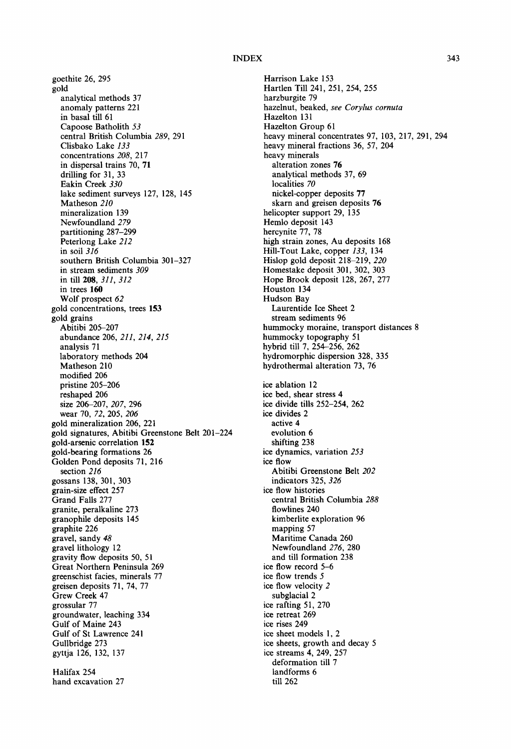goethite 26, 295 gold analytical methods 37 anomaly patterns 221 in basal till 61 Capoose Batholith *53*  central British Columbia *289,* 291 Clisbako Lake *133*  concentrations *208,* 217 in dispersal trains 70, 71 drilling for 31, 33 Eakin Creek *330*  lake sediment surveys 127, 128, 145 Matheson *210*  mineralization 139 Newfoundland *279*  partitioning 287-299 Peterlong Lake *212*  in soil *316*  southern British Columbia 301-327 in stream sediments *309*  in till 208, *311, 312*  in trees 160 Wolf prospect *62*  gold concentrations, trees 153 gold grains Abitibi 205-207 abundance 206, *211, 214, 215*  analysis 71 laboratory methods 204 Matheson 210 modified 206 pristine 205-206 reshaped 206 size 206-207, *207,* 296 wear 70, *72,* 205, *206*  gold mineralization 206, 221 gold signatures, Abitibi Greenstone Belt 201-224 gold-arsenic correlation **152**  gold-bearing formations 26 Golden Pond deposits 71, 216 section *216*  gossans 138, 301, 303 grain-size effect 257 Grand Falls 277 granite, peralkaline 273 granophile deposits 145 graphite 226 gravel, sandy *48*  gravel lithology 12 gravity flow deposits 50, 51 Great Northern Peninsula 269 greenschist facies, minerals 77 greisen deposits 71, 74, 77 Grew Creek 47 grossular 77 groundwater, leaching 334 Gulf of Maine 243 Gulf of St Lawrence 241 Gullbridge 273 gyttja 126, 132, 137 Halifax 254 hand excavation 27

Harrison Lake 153 Hartlen Till 241,251,254, 255 harzburgite 79 hazelnut, beaked, *see Corylus cornuta*  Hazelton 131 Hazelton Group 61 heavy mineral concentrates 97, 103, 217, 291, 294 heavy mineral fractions 36, 57, 204 heavy minerals alteration zones 76 analytical methods 37, 69 localities *70*  nickel-copper deposits 77 skarn and greisen deposits 76 helicopter support 29, 135 Hemlo deposit 143 hercynite 77, 78 high strain zones, Au deposits 168 Hill-Tout Lake, copper *133,* 134 Hislop gold deposit 218-219, *220*  Homestake deposit 301, 302, 303 Hope Brook deposit 128, 267, 277 Houston 134 Hudson Bay Laurentide Ice Sheet 2 stream sediments 96 hummocky moraine, transport distances 8 hummocky topography 51 hybrid till 7, 254-256, 262 hydromorphic dispersion 328, 335 hydrothermal alteration 73, 76 ice ablation 12 ice bed, shear stress 4 ice divide tills 252-254, 262 ice divides 2 active 4 evolution 6 shifting 238 ice dynamics, variation *253*  ice flow Abitibi Greenstone Belt *202*  indicators 325, *326*  ice flow histories central British Columbia *288*  flowlines 240 kimberlite exploration 96 mapping 57 Maritime Canada 260 Newfoundland *276,* 280 and till formation 238 ice flow record 5-6 ice flow trends 5 ice flow velocity 2 subglacial 2 ice rafting 51,270 ice retreat 269 ice rises 249 ice sheet models 1, 2 ice sheets, growth and decay 5 ice streams 4, 249, 257 deformation till 7 landforms 6 till 262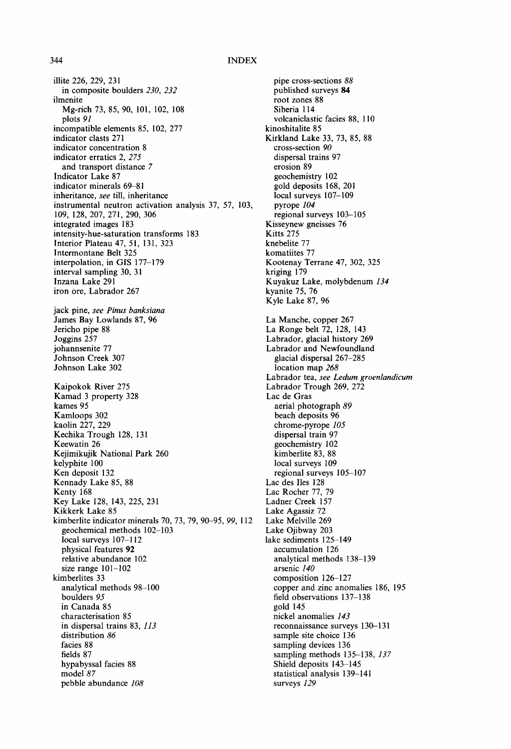illite 226, 229, 231 in composite boulders *230, 232*  ilmenite Mg-rich 73, 85, 90, 101, 102, 108 plots *91*  incompatible elements 85, 102, 277 indicator clasts 271 indicator concentration 8 indicator erratics 2, *275*  and transport distance 7 Indicator Lake 87 indicator minerals 69-81 inheritance, *see* till, inheritance instrumental neutron activation analysis 37, 57, 103, 109, 128, 207, 271,290, 306 integrated images 183 intensity-hue-saturation transforms 183 Interior Plateau 47, 51, 131, 323 lntermontane Belt 325 interpolation, in GIS 177-179 interval sampling 30, 31 Inzana Lake 291 iron ore, Labrador 267 jack pine, *see Pinus banksiana*  James Bay Lowlands 87, 96 Jericho pipe 88 Joggins 257 johannsenite 77 Johnson Creek 307 Johnson Lake 302 Kaipokok River 275 Kamad 3 property 328 kames 95 Kamloops 302 kaolin 227, 229 Kechika Trough 128, 131 Keewatin 26 Kejimikujik National Park 260 kelyphite 100 Ken deposit 132 Kennady Lake 85, 88 Kenty 168 Key Lake 128, 143, 225, 231 Kikkerk Lake 85 kimberlite indicator minerals 70, 73, 79, 90-95, *99,* 112 geochemical methods 102-103 local surveys  $107-112$ physical features 92 relative abundance 102 size range 101-102 kimberlites 33 analytical methods 98-100 boulders *95*  in Canada 85 characterisation 85 in dispersal trains 83, *113*  distribution *86*  facies 88 fields 87 hypabyssal facies 88 model *87*  pebble abundance *108* 

pipe cross-sections *88*  published surveys 84 root zones 88 Siberia 114 volcaniclastic facies 88, 110 kinoshitalite 85 Kirkland Lake 33, 73, 85, 88 cross-section *90*  dispersal trains 97 erosion 89 geochemistry 102 gold deposits 168, 201 local surveys 107-109 pyrope *104*  regional surveys 103-105 Kisseynew gneisses 76 Kitts 275 knebelite 77 komatiites 77 Kootenay Terrane 47, 302, 325 kriging 179 Kuyakuz Lake, molybdenum *134*  kyanite 75, 76 Kyle Lake 87, 96 La Manche, copper 267 La Ronge belt 72, 128, 143 Labrador, glacial history 269 Labrador and Newfoundland glacial dispersal 267-285 location map *268*  Labrador tea, *see Ledum groenlandicum*  Labrador Trough 269, 272 Lac de Gras aerial photograph *89*  beach deposits 96 chrome-pyrope *105*  dispersal train 97 geochemistry 102 kimberlite 83, 88 local surveys 109 regional surveys 105-107 Lac des Iles 128 Lac Rocher 77, 79 Ladner Creek 157 Lake Agassiz 72 Lake Melville 269 Lake Ojibway 203 lake sediments 125-149 accumulation 126 analytical methods 138-139 arsenic *140*  composition 126-127 copper and zinc anomalies 186, 195 field observations 137-138 gold 145 nickel anomalies *143*  reconnaissance surveys 130-131 sample site choice 136 sampling devices 136 sampling methods 135-138, *137*  Shield deposits 143-145 statistical analysis 139-141 surveys *129*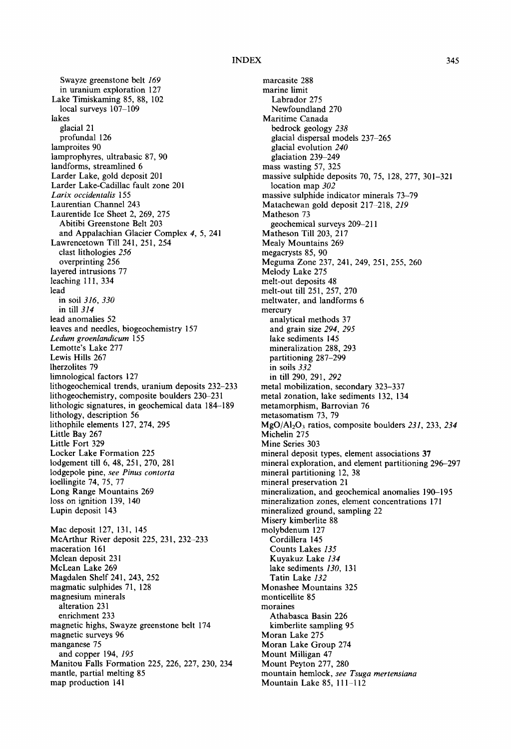Swayze greenstone belt *169*  in uranium exploration 127 Lake Timiskaming 85, 88, 102 local surveys 107-109 lakes glacial 21 profundal 126 lamproites 90 lamprophyres, ultrabasic 87, 90 landforms, streamlined 6 Larder Lake, gold deposit 201 Larder Lake-Cadillac fault zone 201 *Larix occidentalis* 155 Laurentian Channel 243 Laurentide Ice Sheet 2, 269, 275 Abitibi Greenstone Belt 203 and Appalachian Glacier Complex 4, 5, 241 Lawrencetown Till 241, 251, 254 clast lithologies *256*  overprinting 256 layered intrusions 77 leaching 111,334 lead in soil *316, 330*  in till *314*  lead anomalies 52 leaves and needles, biogeochemistry 157 *Ledum groenlandicum* 155 Lemotte's Lake 277 Lewis Hills 267 lherzolites 79 limnological factors 127 lithogeochemical trends, uranium deposits 232-233 lithogeochemistry, composite boulders 230-231 lithoiogic signatures, in geochemical data 184-189 lithology, description 56 lithophile elements 127, 274, 295 Little Bay 267 Little Fort 329 Locker Lake Formation 225 lodgement till 6, 48, 251,270, 281 lodgepole pine, *see Pinus contorta*  loellingite 74, 75, 77 Long Range Mountains 269 loss on ignition 139, 140 Lupin deposit 143 Mac deposit 127, 131, 145 McArthur River deposit 225, 231, 232-233 maceration 161 Mclean deposit 231 McLean Lake 269 Magdalen Shelf 241,243, 252 magmatic sulphides 71, 128 magnesium minerals alteration 231 enrichment 233 magnetic highs, Swayze greenstone belt 174 magnetic surveys 96 manganese 75 and copper 194, *195*  Manitou Falls Formation 225, 226, 227, 230, 234 mantle, partial melting 85 map production 141

marcasite 288 marine limit Labrador 275 Newfoundland 270 Maritime Canada bedrock geology *238*  glacial dispersal models 237-265 glacial evolution *240*  glaciation 239-249 mass wasting 57, 325 massive sulphide deposits 70, 75, 128, 277, 301-321 location map *302*  massive sulphide indicator minerals 73-79 Matachewan gold deposit 217-218, *219*  Matheson 73 geochemical surveys 209-211 Matheson Till 203, 217 Mealy Mountains 269 megacrysts 85, 90 Meguma Zone 237, 241,249, 251,255, 260 Melody Lake 275 melt-out deposits 48 melt-out till 251,257, 270 meltwater, and landforms 6 mercury analytical methods 37 and grain size *294, 295*  lake sediments 145 mineralization 288, 293 partitioning 287-299 in soils *332*  in till 290, 291, 292 metal mobilization, secondary 323-337 metal zonation, lake sediments 132, 134 metamorphism, Barrovian 76 metasomatism 73, 79 MgO/AI203 ratios, composite boulders *231,* 233, *234*  Michelin 275 Mine Series 303 mineral deposit types, element associations 37 mineral exploration, and element partitioning 296-297 mineral partitioning 12, 38 mineral preservation 21 mineralization, and geochemical anomalies 190-195 mineralization zones, element concentrations 171 mineralized ground, sampling 22 Misery kimberlite 88 molybdenum 127 Cordillera 145 Counts Lakes *135*  Kuyakuz Lake *134*  lake sediments *130, 131*  Tatin Lake *132*  Monashee Mountains 325 monticellite 85 moraines Athabasca Basin 226 kimberlite sampling 95 Moran Lake 275 Moran Lake Group 274 Mount Milligan 47 Mount Peyton 277, 280 mountain hemlock, see Tsuga mertensiana Mountain Lake 85, 111-112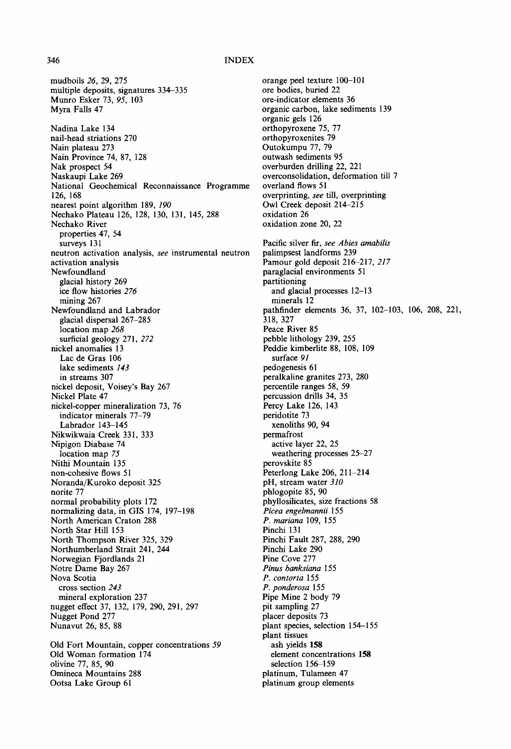mudboils *26,* 29, 275 multiple deposits, signatures 334-335 Munro Esker 73, *95,* 103 Myra Falls 47 Nadina Lake 134 nail-head striations 270 Nain plateau 273 Nain Province 74, 87, 128 Nak prospect 54 Naskaupi Lake 269 National Geochemical Reconnaissance Programme 126, 168 nearest point algorithm 189, *190*  Nechako Plateau 126, 128, 130, 131, 145, 288 Nechako River properties 47, 54 surveys 131 neutron activation analysis, *see* instrumental neutron activation analysis Newfoundland glacial history 269 ice flow histories *276*  mining 267 Newfoundland and Labrador glacial dispersal 267-285 location map *268*  surficial geology 271, 272 nickel anomalies 13 Lac de Gras 106 lake sediments *143*  in streams 307 nickel deposit, Voisey's Bay 267 Nickel Plate 47 nickel-copper mineralization 73, 76 indicator minerals 77-79 Labrador 143-145 Nikwikwaia Creek 331,333 Nipigon Diabase 74 location map *75*  Nithi Mountain 135 non-cohesive flows 51 Noranda/Kuroko deposit 325 norite 77 normal probability plots 172 normalizing data, in GIS 174, 197-198 North American Craton 288 North Star Hill 153 North Thompson River 325, 329 Northumberland Strait 241, 244 Norwegian Fjordlands 21 Notre Dame Bay 267 Nova Scotia cross section *243*  mineral exploration 237 nugget effect 37, 132, 179, 290, 291,297 Nugget Pond 277 Nunavut 26, 85, 88 Old Fort Mountain, copper concentrations *59*  Old Woman formation 174 olivine 77, 85, 90 Omineca Mountains 288

Ootsa Lake Group 61

orange peel texture 100-101 ore bodies, buried 22 ore-indicator elements 36 organic carbon, lake sediments 139 organic gels 126 orthopyroxene 75, 77 orthopyroxenites 79 Outokumpu 77, 79 outwash sediments 95 overburden drilling 22, 221 overconsolidation, deformation till 7 overland flows 51 overprinting, *see* till, overprinting Owl Creek deposit 214-215 oxidation 26 oxidation zone 20, 22 Pacific silver fir, *see Abies amabilis*  palimpsest landforms 239 Pamour gold deposit 216-217, *217*  paraglacial environments 51 partitioning and glacial processes 12-13 minerals 12 pathfinder elements 36, 37, 102-103, 106, 208, 221, 318, 327 Peace River 85 pebble lithology 239, 255 Peddie kimberlite 88, 108, 109 surface *91*  pedogenesis 61 peralkaline granites 273, 280 percentile ranges 58, 59 percussion drills 34, 35 Percy Lake 126, 143 peridotite 73 xenoliths 90, 94 permafrost active layer 22, 25 weathering processes 25-27 perovskite 85 Peterlong Lake 206, 211-214 pH, stream water *310*  phlogopite 85, 90 phyllosilicates, size fractions 58 *Picea engelmannii* 155 *P. mariana* 109, 155 Pinchi 131 Pinchi Fault 287, 288, 290 Pinchi Lake 290 Pine Cove 277 *Pinus banksiana* 155 *P. contorta* 155 *P. ponderosa* 155 Pipe Mine 2 body 79 pit sampling 27 placer deposits 73 plant species, selection 154-155 plant tissues ash yields 158 element concentrations 158 selection 156-159 platinum, Tulameen 47

platinum group elements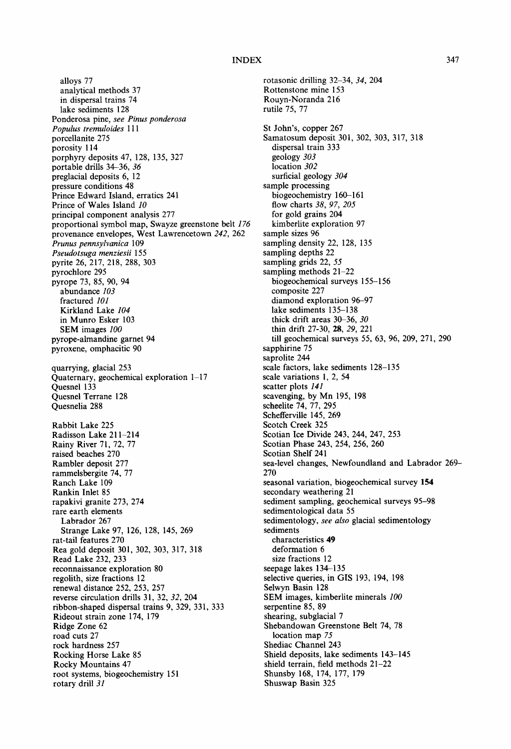alloys 77 analytical methods 37 in dispersal trains 74 lake sediments 128 Ponderosa pine, *see Pinus ponderosa Populus tremuloides 111*  porcellanite 275 porosity 114 porphyry deposits 47, 128, 135, 327 portable drills 34-36, *36*  preglacial deposits 6, 12 pressure conditions 48 Prince Edward Island, erratics 241 Prince of Wales Island *10*  principal component analysis 277 proportional symbol map, Swayze greenstone belt *176*  provenance envelopes, West Lawrencetown *242,* 262 *Prunus pennsylvanica* 109 *Pseudotsuga menziesii* 155 pyrite 26, 217, 218, 288, 303 pyrochlore 295 pyrope 73, 85, 90, 94 abundance *103*  fractured *101*  Kirkland Lake *104*  in Munro Esker 103 SEM images *100*  pyrope-almandine garnet 94 pyroxene, omphacitic 90 quarrying, glacial 253 Quaternary, geochemical exploration 1-17 Quesnel 133 Quesnel Terrane 128 Quesnelia 288 Rabbit Lake 225 Radisson Lake 211-214 Rainy River 71, 72, 77 raised beaches 270 Rambler deposit 277 rammelsbergite 74, 77 Ranch Lake 109 Rankin Inlet 85 rapakivi granite 273, 274 rare earth elements Labrador 267 Strange Lake 97, 126, 128, 145, 269 rat-tail features 270 Rea gold deposit 301,302, 303, 317, 318 Read Lake 232, 233 reconnaissance exploration 80 regolith, size fractions 12 renewal distance 252, 253, 257 reverse circulation drills 31, 32, *32,* 204 ribbon-shaped dispersal trains 9, 329, 331,333 Rideout strain zone 174, 179 Ridge Zone 62 road cuts 27 rock hardness 257 Rocking Horse Lake 85 Rocky Mountains 47 root systems, biogeochemistry 151 rotary drill *31* 

rotasonic drilling 32-34, *34,* 204 Rottenstone mine 153 Rouyn-Noranda 216 rutile 75, 77 St John's, copper 267 Samatosum deposit 301,302, 303, 317, 318 dispersal train 333 geology *303*  location *302*  surficial geology *304*  sample processing biogeochemistry 160-161 flow charts *38, 97, 205*  for gold grains 204 kimberlite exploration 97 sample sizes 96 sampling density 22, 128, 135 sampling depths 22 sampling grids 22, *55*  sampling methods 21-22 biogeochemical surveys 155-156 composite 227 diamond exploration 96-97 lake sediments 135-138 thick drift areas 30-36, *30*  thin drift 27-30, 28, *29,* 221 till geochemical surveys 55, 63, 96, 209, 271,290 sapphirine 75 saprolite 244 scale factors, lake sediments 128-135 scale variations 1, 2, 54 scatter plots *141*  scavenging, by Mn 195, 198 scheelite 74, 77, 295 Schefferville 145, 269 Scotch Creek 325 Scotian Ice Divide 243, 244, 247, 253 Scotian Phase 243, 254, 256, 260 Scotian Shelf 241 sea-level changes, Newfoundland and Labrador 269- 270 seasonal variation, biogeochemical survey 154 secondary weathering 21 sediment sampling, geochemical surveys 95-98 sedimentological data 55 sedimentology, *see also* glacial sedimentology sediments characteristics 49 deformation 6 size fractions 12 seepage lakes 134-135 selective queries, in GIS 193, 194, 198 Selwyn Basin 128 SEM images, kimberlite minerals *100*  serpentine 85, 89 shearing, subglacial 7 Shebandowan Greenstone Belt 74, 78 location map *75*  Shediac Channel 243 Shield deposits, lake sediments 143-145 shield terrain, field methods 21-22 Shunsby 168, 174, 177, 179 Shuswap Basin 325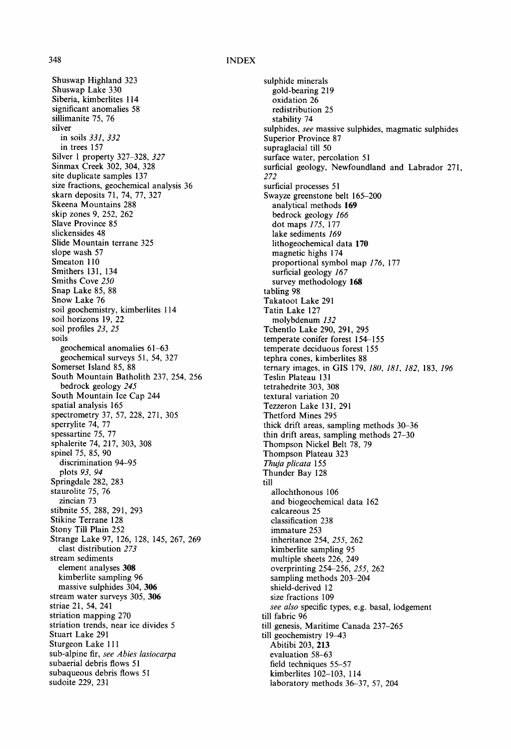Shuswap Highland 323 Shuswap Lake 330 Siberia, kimberlites 114 significant anomalies 58 sillimanite 75, 76 silver in soils *331, 332*  in trees 157 Silver 1 property 327-328, *327*  Sinmax Creek 302, 304, 328 site duplicate samples 137 size fractions, geochemical analysis 36 skarn deposits 71, 74, 77, 327 Skeena Mountains 288 skip zones 9, 252, 262 Slave Province 85 slickensides 48 Slide Mountain terrane 325 slope wash 57 Smeaton 110 Smithers 131, 134 Smiths Cove *250*  Snap Lake 85, 88 Snow Lake 76 soil geochemistry, kimberlites 114 soil horizons 19, 22 soil profiles *23, 25*  soils geochemical anomalies 61-63 geochemical surveys 51, 54, 327 Somerset Island 85, 88 South Mountain Batholith 237, 254, 256 bedrock geology *245*  South Mountain Ice Cap 244 spatial analysis 165 spectrometry 37, 57, 228, 271, 305 sperrylite 74, 77 spessartine 75, 77 sphalerite 74, 217, 303, 308 spinel 75, 85, 90 discrimination 94-95 plots *93, 94*  Springdale 282, 283 staurolite 75, 76 zincian 73 stibnite 55, 288, 291,293 Stikine Terrane 128 Stony Till Plain 252 Strange Lake 97, 126, 128, 145, *267,* 269 clast distribution *273*  stream sediments element analyses 308 kimberlite sampling 96 massive sulphides 304, 306 stream water surveys 305, 306 striae 21, 54, 241 striation mapping 270 striation trends, near ice divides 5 Stuart Lake 291 Sturgeon Lake 111 sub-alpine fir, *see Abies lasiocarpa*  subaerial debris flows 51 subaqueous debris flows 51 sudoite 229, 231

sulphide minerals gold-bearing 219 oxidation 26 redistribution 25 stability 74 sulphides, *see* massive sulphides, magmatic sulphides Superior Province 87 supraglacial till 50 surface water, percolation 51 surficial geology, Newfoundland and Labrador 271, *272*  surficial processes 51 Swayze greenstone belt 165-200 analytical methods 169 bedrock geology *166*  dot maps *175,* 177 lake sediments *169*  lithogeochemical data 170 magnetic highs 174 proportional symbol map *176,* 177 surficial geology *167*  survey methodology 168 tabling 98 Takatoot Lake 291 Tatin Lake 127 molybdenum *132*  Tchentlo Lake 290, 291,295 temperate conifer forest 154-155 temperate deciduous forest 155 tephra cones, kimberlites 88 ternary images, in GIS 179, *180, 181, 182,* 183, *196*  Teslin Plateau 131 tetrahedrite 303, 308 textural variation 20 Tezzeron Lake 131,291 Thetford Mines 295 thick drift areas, sampling methods 30-36 thin drift areas, sampling methods 27-30 Thompson Nickel Belt 78, 79 Thompson Plateau 323 *Thuja plicata 155*  Thunder Bay 128 till allochthonous 106 and biogeochemical data 162 calcareous 25 classification 238 immature 253 inheritance 254, *255,* 262 kimberlite sampling 95 multiple sheets 226, 249 overprinting 254-256, *255,* 262 sampling methods 203-204 shield-derived 12 size fractions 109 *see also* specific types, e.g. basal, lodgement till fabric 96 till genesis, Maritime Canada 237-265 till geochemistry 19-43 Abitibi 203, 213 evaluation 58-63 field techniques 55-57 kimberlites 102-103, 114 laboratory methods 36-37, 57, 204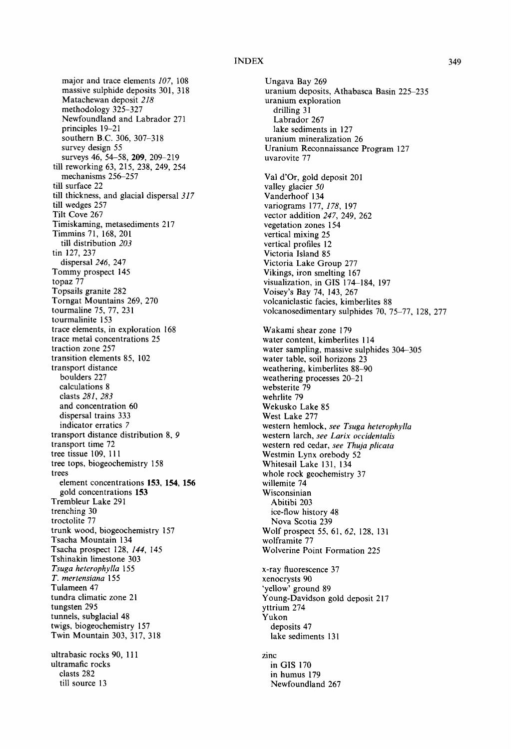major and trace elements *107,* 108 massive sulphide deposits 301, 318 Matachewan deposit *218*  methodology 325-327 Newfoundland and Labrador 271 principles 19-21 southern B.C. 306, 307-318 survey design 55 surveys 46, 54-58, 209, 209-219 till reworking 63, 215, 238, 249, 254 mechanisms 256-257 till surface 22 till thickness, and glacial dispersal *317*  till wedges 257 Tilt Cove 267 Timiskaming, metasediments 217 Timmins 71, 168, 201 till distribution *203*  tin 127, 237 dispersal *246,* 247 Tommy prospect 145 topaz 77 Topsails granite 282 Torngat Mountains 269, 270 tourmaline 75, 77, 231 tourmalinite 153 trace elements, in exploration 168 trace metal concentrations 25 traction zone 257 transition elements 85, 102 transport distance boulders 227 calculations 8 clasts *281, 283*  and concentration 60 dispersal trains 333 indicator erratics 7 transport distance distribution 8, 9 transport time 72 tree tissue 109, 111 tree tops, biogeochemistry 158 trees element concentrations 153, 154, 156 gold concentrations 153 Trembleur Lake 291 trenching 30 troctolite 77 trunk wood, biogeochemistry 157 Tsacha Mountain 134 Tsacha prospect 128, *144,* 145 Tshinakin limestone 303 *Tsuga heterophylla* 155 *T. mertensiana* 155 Tulameen 47 tundra climatic zone 21 tungsten 295 tunnels, subglacial 48 twigs, biogeochemistry 157 Twin Mountain 303, 317, 318 ultrabasic rocks 90, 111 ultramafic rocks clasts 282 till source 13

Ungava Bay 269 uranium deposits, Athabasca Basin 225-235 uranium exploration drilling 31 Labrador 267 lake sediments in 127 uranium mineralization 26 Uranium Reconnaissance Program 127 uvarovite 77 Val d'Or, gold deposit 201 valley glacier *50*  Vanderhoof 134 variograms 177, *178,* 197 vector addition *247,* 249, 262 vegetation zones 154 vertical mixing 25 vertical profiles 12 Victoria Island 85 Victoria Lake Group 277 Vikings, iron smelting 167 visualization, in GIS 174-184, 197 Voisey's Bay 74, 143, 267 volcaniclastic facies, kimberlites 88 volcanosedimentary sulphides 70, 75-77, 128, 277 Wakami shear zone 179 water content, kimberlites 114 water sampling, massive sulphides 304-305 water table, soil horizons 23 weathering, kimberlites 88-90 weathering processes 20-21 websterite 79 wehrlite 79 Wekusko Lake 85 West Lake 277 western hemlock, *see Tsuga heterophylla*  western larch, *see Larix occidentalis*  western red cedar, *see Thuja plicata*  Westmin Lynx orebody 52 Whitesaii Lake 131, 134 whole rock geochemistry 37 wiilemite 74 Wisconsinian Abitibi 203 ice-flow history 48 Nova Scotia 239 Wolf prospect 55, 61, *62,* 128, 131 wolframite 77 Wolverine Point Formation 225 x-ray fluorescence 37 xenocrysts 90 'yellow' ground 89 Young-Davidson gold deposit 217 yttrium 274 Yukon deposits 47 lake sediments 131 zinc in GIS 170 in humus 179 Newfoundland 267